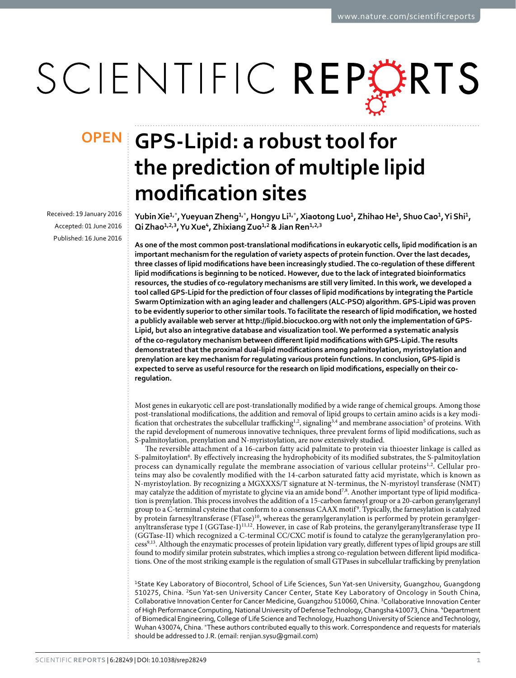# SCIENTIFIC REPERTS

Received: 19 January 2016 accepted: 01 June 2016 Published: 16 June 2016

## **GPS-Lipid: a robust tool for OPENthe prediction of multiple lipid modification sites**

Yubin Xie<sup>1,</sup>\*, Yueyuan Zheng<sup>1,\*</sup>, Hongyu Li<sup>1,\*</sup>, Xiaotong Luo<sup>1</sup>, Zhihao He<sup>1</sup>, Shuo Cao<sup>1</sup>, Yi Shi<sup>1</sup>, **Qi Zhao<sup>1</sup>,2,<sup>3</sup>, YuXue<sup>4</sup>, ZhixiangZuo<sup>1</sup>,<sup>2</sup> & Jian Ren<sup>1</sup>,2,<sup>3</sup>**

**As one of the most common post-translational modifications in eukaryotic cells, lipid modification is an important mechanism for the regulation of variety aspects of protein function. Over the last decades, three classes of lipid modifications have been increasingly studied. The co-regulation of these different lipid modifications is beginning to be noticed. However, due to the lack of integrated bioinformatics resources, the studies of co-regulatory mechanisms are still very limited. In this work, we developed a tool called GPS-Lipid for the prediction of four classes of lipid modifications by integrating the Particle Swarm Optimization with an aging leader and challengers (ALC-PSO) algorithm. GPS-Lipid was proven to be evidently superior to other similar tools. To facilitate the research of lipid modification, we hosted a publicly available web server at<http://lipid.biocuckoo.org>with not only the implementation of GPS-Lipid, but also an integrative database and visualization tool. We performed a systematic analysis of the co-regulatory mechanism between different lipid modifications with GPS-Lipid. The results demonstrated that the proximal dual-lipid modifications among palmitoylation, myristoylation and prenylation are key mechanism for regulating various protein functions. In conclusion, GPS-lipid is expected to serve as useful resource for the research on lipid modifications, especially on their coregulation.**

Most genes in eukaryotic cell are post-translationally modified by a wide range of chemical groups. Among those post-translational modifications, the addition and removal of lipid groups to certain amino acids is a key modi-fication that orchestrates the subcellular trafficking<sup>[1](#page-7-0),2</sup>, signaling<sup>[3](#page-7-2),4</sup> and membrane association<sup>[5](#page-7-4)</sup> of proteins. With the rapid development of numerous innovative techniques, three prevalent forms of lipid modifications, such as S-palmitoylation, prenylation and N-myristoylation, are now extensively studied.

The reversible attachment of a 16-carbon fatty acid palmitate to protein via thioester linkage is called as S-palmitoylation<sup>[6](#page-7-5)</sup>. By effectively increasing the hydrophobicity of its modified substrates, the S-palmitoylation process can dynamically regulate the membrane association of various cellular proteins<sup>1,2</sup>. Cellular proteins may also be covalently modified with the 14-carbon saturated fatty acid myristate, which is known as N-myristoylation. By recognizing a MGXXXS/T signature at N-terminus, the N-myristoyl transferase (NMT) may catalyze the addition of myristate to glycine via an amide bond<sup>7[,8](#page-7-7)</sup>. Another important type of lipid modification is prenylation. This process involves the addition of a 15-carbon farnesyl group or a 20-carbon geranylgeranyl group to a C-terminal cysteine that conform to a consensus CAAX motif<sup>[9](#page-7-8)</sup>. Typically, the farnesylation is catalyzed by protein farnesyltransferase (FTase)<sup>[10](#page-7-9)</sup>, whereas the geranylgeranylation is performed by protein geranylger-anyltransferase type I (GGTase-I)<sup>[11](#page-7-10),12</sup>. However, in case of Rab proteins, the geranylgeranyltransferase type II (GGTase-II) which recognized a C-terminal CC/CXC motif is found to catalyze the geranylgeranylation process[9,](#page-7-8)[13](#page-7-12). Although the enzymatic processes of protein lipidation vary greatly, different types of lipid groups are still found to modify similar protein substrates, which implies a strong co-regulation between different lipid modifications. One of the most striking example is the regulation of small GTPases in subcellular trafficking by prenylation

<sup>1</sup>State Key Laboratory of Biocontrol, School of Life Sciences, Sun Yat-sen University, Guangzhou, Guangdong 510275, China. 2Sun Yat-sen University Cancer Center, State Key Laboratory of Oncology in South China, Collaborative Innovation Center for Cancer Medicine, Guangzhou 510060, China. <sup>3</sup>Collaborative Innovation Center of High Performance Computing, National University of Defense Technology, Changsha 410073, China. 4Department of Biomedical Engineering, College of Life Science and Technology, Huazhong University of Science and Technology, Wuhan 430074, China. <sup>∗</sup> These authors contributed equally to this work. Correspondence and requests for materials should be addressed to J.R. (email: [renjian.sysu@gmail.com\)](mailto:renjian.sysu@gmail.com)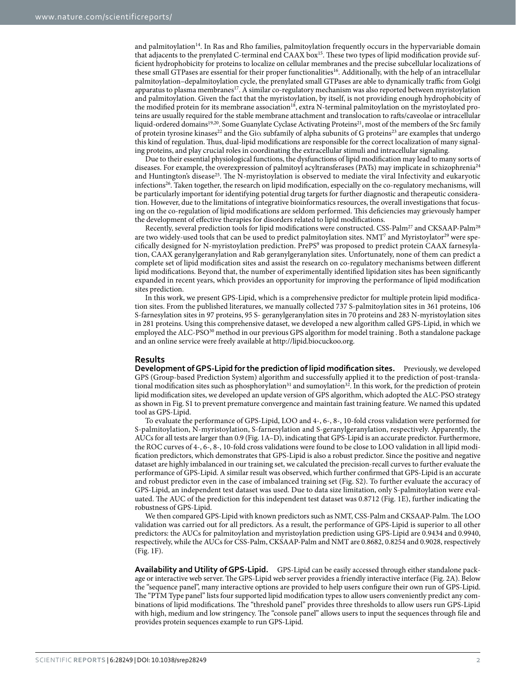and palmitoylation<sup>[14](#page-7-13)</sup>. In Ras and Rho families, palmitoylation frequently occurs in the hypervariable domain that adjacents to the prenylated C-terminal end CAAX box<sup>15</sup>. These two types of lipid modification provide sufficient hydrophobicity for proteins to localize on cellular membranes and the precise subcellular localizations of these small GTPases are essential for their proper functionalities<sup>[16](#page-7-15)</sup>. Additionally, with the help of an intracellular palmitoylation–depalmitoylation cycle, the prenylated small GTPases are able to dynamically traffic from Golgi apparatus to plasma membranes<sup>17</sup>. A similar co-regulatory mechanism was also reported between myristoylation and palmitoylation. Given the fact that the myristoylation, by itself, is not providing enough hydrophobicity of the modified protein for its membrane association<sup>18</sup>, extra N-terminal palmitoylation on the myristoylated proteins are usually required for the stable membrane attachment and translocation to rafts/caveolae or intracellular liquid-ordered domains<sup>19,[20](#page-7-19)</sup>. Some Guanylate Cyclase Activating Proteins<sup>21</sup>, most of the members of the Src family of protein tyrosine kinases<sup>22</sup> and the Gi $\alpha$  subfamily of alpha subunits of G proteins<sup>23</sup> are examples that undergo this kind of regulation. Thus, dual-lipid modifications are responsible for the correct localization of many signaling proteins, and play crucial roles in coordinating the extracellular stimuli and intracellular signaling.

Due to their essential physiological functions, the dysfunctions of lipid modification may lead to many sorts of diseases. For example, the overexpression of palmitoyl acyltransferases (PATs) may implicate in schizophrenia<sup>[24](#page-7-23)</sup> and Huntington's disease<sup>25</sup>. The N-myristoylation is observed to mediate the viral Infectivity and eukaryotic infections<sup>26</sup>. Taken together, the research on lipid modification, especially on the co-regulatory mechanisms, will be particularly important for identifying potential drug targets for further diagnostic and therapeutic consideration. However, due to the limitations of integrative bioinformatics resources, the overall investigations that focusing on the co-regulation of lipid modifications are seldom performed. This deficiencies may grievously hamper the development of effective therapies for disorders related to lipid modifications.

Recently, several prediction tools for lipid modifications were constructed. CSS-Palm<sup>27</sup> and CKSAAP-Palm<sup>28</sup> are two widely-used tools that can be used to predict palmitoylation sites.  $\text{NMT}^{7}$  $\text{NMT}^{7}$  $\text{NMT}^{7}$  and Myristoylator $^{29}$  $^{29}$  $^{29}$  were spe-cifically designed for N-myristoylation prediction. PrePS<sup>[9](#page-7-8)</sup> was proposed to predict protein CAAX farnesylation, CAAX geranylgeranylation and Rab geranylgeranylation sites. Unfortunately, none of them can predict a complete set of lipid modification sites and assist the research on co-regulatory mechanisms between different lipid modifications. Beyond that, the number of experimentally identified lipidation sites has been significantly expanded in recent years, which provides an opportunity for improving the performance of lipid modification sites prediction.

In this work, we present GPS-Lipid, which is a comprehensive predictor for multiple protein lipid modification sites. From the published literatures, we manually collected 737 S-palmitoylation sites in 361 proteins, 106 S-farnesylation sites in 97 proteins, 95 S- geranylgeranylation sites in 70 proteins and 283 N-myristoylation sites in 281 proteins. Using this comprehensive dataset, we developed a new algorithm called GPS-Lipid, in which we employed the ALC-PSO<sup>[30](#page-7-29)</sup> method in our previous GPS algorithm for model training . Both a standalone package and an online service were freely available at<http://lipid.biocuckoo.org>.

#### **Results**

**Development of GPS-Lipid for the prediction of lipid modification sites.** Previously, we developed GPS (Group-based Prediction System) algorithm and successfully applied it to the prediction of post-transla-tional modification sites such as phosphorylation<sup>[31](#page-7-30)</sup> and sumoylation<sup>32</sup>. In this work, for the prediction of protein lipid modification sites, we developed an update version of GPS algorithm, which adopted the ALC-PSO strategy as shown in Fig. S1 to prevent premature convergence and maintain fast training feature. We named this updated tool as GPS-Lipid.

To evaluate the performance of GPS-Lipid, LOO and 4-, 6-, 8-, 10-fold cross validation were performed for S-palmitoylation, N-myristoylation, S-farnesylation and S-geranylgeranylation, respectively. Apparently, the AUCs for all tests are larger than 0.9 [\(Fig. 1A–D](#page-2-0)), indicating that GPS-Lipid is an accurate predictor. Furthermore, the ROC curves of 4-, 6-, 8-, 10-fold cross validations were found to be close to LOO validation in all lipid modification predictors, which demonstrates that GPS-Lipid is also a robust predictor. Since the positive and negative dataset are highly imbalanced in our training set, we calculated the precision-recall curves to further evaluate the performance of GPS-Lipid. A similar result was observed, which further confirmed that GPS-Lipid is an accurate and robust predictor even in the case of imbalanced training set (Fig. S2). To further evaluate the accuracy of GPS-Lipid, an independent test dataset was used. Due to data size limitation, only S-palmitoylation were evaluated. The AUC of the prediction for this independent test dataset was 0.8712 [\(Fig. 1E\)](#page-2-0), further indicating the robustness of GPS-Lipid.

We then compared GPS-Lipid with known predictors such as NMT, CSS-Palm and CKSAAP-Palm. The LOO validation was carried out for all predictors. As a result, the performance of GPS-Lipid is superior to all other predictors: the AUCs for palmitoylation and myristoylation prediction using GPS-Lipid are 0.9434 and 0.9940, respectively, while the AUCs for CSS-Palm, CKSAAP-Palm and NMT are 0.8682, 0.8254 and 0.9028, respectively ([Fig. 1F](#page-2-0)).

**Availability and Utility of GPS-Lipid.** GPS-Lipid can be easily accessed through either standalone package or interactive web server. The GPS-Lipid web server provides a friendly interactive interface ([Fig. 2A\)](#page-2-1). Below the "sequence panel", many interactive options are provided to help users configure their own run of GPS-Lipid. The "PTM Type panel" lists four supported lipid modification types to allow users conveniently predict any combinations of lipid modifications. The "threshold panel" provides three thresholds to allow users run GPS-Lipid with high, medium and low stringency. The "console panel" allows users to input the sequences through file and provides protein sequences example to run GPS-Lipid.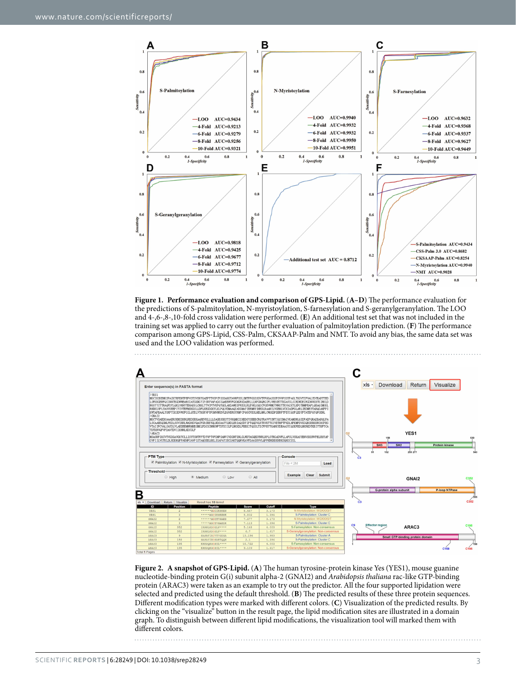

<span id="page-2-0"></span>**Figure 1. Performance evaluation and comparison of GPS-Lipid.** (**A–D**) The performance evaluation for the predictions of S-palmitoylation, N-myristoylation, S-farnesylation and S-geranylgeranylation. The LOO and 4-,6-,8-,10-fold cross validation were performed. (**E**) An additional test set that was not included in the training set was applied to carry out the further evaluation of palmitoylation prediction. (**F**) The performance comparison among GPS-Lipid, CSS-Palm, CKSAAP-Palm and NMT. To avoid any bias, the same data set was used and the LOO validation was performed.



<span id="page-2-1"></span>**Figure 2. A snapshot of GPS-Lipid.** (**A**) The human tyrosine-protein kinase Yes (YES1), mouse guanine nucleotide-binding protein G(i) subunit alpha-2 (GNAI2) and *Arabidopsis thaliana* rac-like GTP-binding protein (ARAC3) were taken as an example to try out the predictor. All the four supported lipidation were selected and predicted using the default threshold. (**B**) The predicted results of these three protein sequences. Different modification types were marked with different colors. (**C**) Visualization of the predicted results. By clicking on the "visualize" button in the result page, the lipid modification sites are illustrated in a domain graph. To distinguish between different lipid modifications, the visualization tool will marked them with different colors.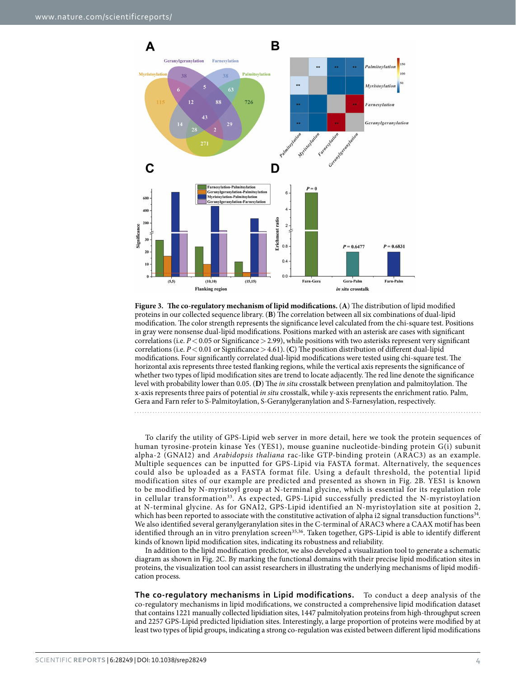

<span id="page-3-0"></span>**Figure 3. The co-regulatory mechanism of lipid modifications.** (**A**) The distribution of lipid modified proteins in our collected sequence library. (**B**) The correlation between all six combinations of dual-lipid modification. The color strength represents the significance level calculated from the chi-square test. Positions in gray were nonsense dual-lipid modifications. Positions marked with an asterisk are cases with significant correlations (i.e.  $P < 0.05$  or Significance  $> 2.99$ ), while positions with two asterisks represent very significant correlations (i.e. *P* < 0.01 or Significance > 4.61). (**C**) The position distribution of different dual-lipid modifications. Four significantly correlated dual-lipid modifications were tested using chi-square test. The horizontal axis represents three tested flanking regions, while the vertical axis represents the significance of whether two types of lipid modification sites are trend to locate adjacently. The red line denote the significance level with probability lower than 0.05. (**D**) The *in situ* crosstalk between prenylation and palmitoylation. The x-axis represents three pairs of potential *in situ* crosstalk, while y-axis represents the enrichment ratio. Palm, Gera and Farn refer to S-Palmitoylation, S-Geranylgeranylation and S-Farnesylation, respectively.

To clarify the utility of GPS-Lipid web server in more detail, here we took the protein sequences of human tyrosine-protein kinase Yes (YES1), mouse guanine nucleotide-binding protein G(i) subunit alpha-2 (GNAI2) and *Arabidopsis thaliana* rac-like GTP-binding protein (ARAC3) as an example. Multiple sequences can be inputted for GPS-Lipid via FASTA format. Alternatively, the sequences could also be uploaded as a FASTA format file. Using a default threshold, the potential lipid modification sites of our example are predicted and presented as shown in [Fig. 2B.](#page-2-1) YES1 is known to be modified by N-myristoyl group at N-terminal glycine, which is essential for its regulation role in cellular transformation<sup>[33](#page-7-32)</sup>. As expected, GPS-Lipid successfully predicted the N-myristoylation at N-terminal glycine. As for GNAI2, GPS-Lipid identified an N-myristoylation site at position 2, which has been reported to associate with the constitutive activation of alpha i2 signal transduction functions<sup>34</sup>. We also identified several geranylgeranylation sites in the C-terminal of ARAC3 where a CAAX motif has been identified through an in vitro prenylation screen<sup>[35,](#page-7-34)36</sup>. Taken together, GPS-Lipid is able to identify different kinds of known lipid modification sites, indicating its robustness and reliability.

In addition to the lipid modification predictor, we also developed a visualization tool to generate a schematic diagram as shown in [Fig. 2C.](#page-2-1) By marking the functional domains with their precise lipid modification sites in proteins, the visualization tool can assist researchers in illustrating the underlying mechanisms of lipid modification process.

**The co-regulatory mechanisms in Lipid modifications.** To conduct a deep analysis of the co-regulatory mechanisms in lipid modifications, we constructed a comprehensive lipid modification dataset that contains 1221 manually collected lipidiation sites, 1447 palmitolyation proteins from high-throughput screen and 2257 GPS-Lipid predicted lipidiation sites. Interestingly, a large proportion of proteins were modified by at least two types of lipid groups, indicating a strong co-regulation was existed between different lipid modifications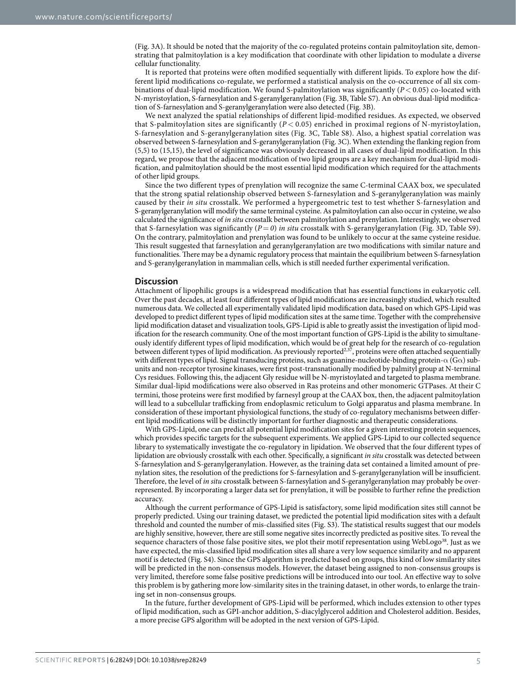([Fig. 3A](#page-3-0)). It should be noted that the majority of the co-regulated proteins contain palmitoylation site, demonstrating that palmitoylation is a key modification that coordinate with other lipidation to modulate a diverse cellular functionality.

It is reported that proteins were often modified sequentially with different lipids. To explore how the different lipid modifications co-regulate, we performed a statistical analysis on the co-occurrence of all six combinations of dual-lipid modification. We found S-palmitoylation was significantly (*P*< 0.05) co-located with N-myristoylation, S-farnesylation and S-geranylgeranylation ([Fig. 3B](#page-3-0), Table S7). An obvious dual-lipid modification of S-farnesylation and S-geranylgeranylation were also detected [\(Fig. 3B](#page-3-0)).

We next analyzed the spatial relationships of different lipid-modified residues. As expected, we observed that S-palmitoylation sites are significantly (*P* < 0.05) enriched in proximal regions of N-myristoylation, S-farnesylation and S-geranylgeranylation sites [\(Fig. 3C,](#page-3-0) Table S8). Also, a highest spatial correlation was observed between S-farnesylation and S-geranylgeranylation ([Fig. 3C](#page-3-0)). When extending the flanking region from (5,5) to (15,15), the level of significance was obviously decreased in all cases of dual-lipid modification. In this regard, we propose that the adjacent modification of two lipid groups are a key mechanism for dual-lipid modification, and palmitoylation should be the most essential lipid modification which required for the attachments of other lipid groups.

Since the two different types of prenylation will recognize the same C-terminal CAAX box, we speculated that the strong spatial relationship observed between S-farnesylation and S-geranylgeranylation was mainly caused by their *in situ* crosstalk. We performed a hypergeometric test to test whether S-farnesylation and S-geranylgeranylation will modify the same terminal cysteine. As palmitoylation can also occur in cysteine, we also calculated the significance of *in situ* crosstalk between palmitoylation and prenylation. Interestingly, we observed that S-farnesylation was significantly (*P*= *0*) *in situ* crosstalk with S-geranylgeranylation [\(Fig. 3D](#page-3-0), Table S9). On the contrary, palmitoylation and prenylation was found to be unlikely to occur at the same cysteine residue. This result suggested that farnesylation and geranylgeranylation are two modifications with similar nature and functionalities. There may be a dynamic regulatory process that maintain the equilibrium between S-farnesylation and S-geranylgeranylation in mammalian cells, which is still needed further experimental verification.

#### **Discussion**

Attachment of lipophilic groups is a widespread modification that has essential functions in eukaryotic cell. Over the past decades, at least four different types of lipid modifications are increasingly studied, which resulted numerous data. We collected all experimentally validated lipid modification data, based on which GPS-Lipid was developed to predict different types of lipid modification sites at the same time. Together with the comprehensive lipid modification dataset and visualization tools, GPS-Lipid is able to greatly assist the investigation of lipid modification for the research community. One of the most important function of GPS-Lipid is the ability to simultaneously identify different types of lipid modification, which would be of great help for the research of co-regulation between different types of lipid modification. As previously reported<sup>[2,](#page-7-1)37</sup>, proteins were often attached sequentially with different types of lipid. Signal transducing proteins, such as guanine-nucleotide-binding protein- $\alpha$  (G $\alpha$ ) subunits and non-receptor tyrosine kinases, were first post-transnationally modified by palmityl group at N-terminal Cys residues. Following this, the adjacent Gly residue will be N-myristoylated and targeted to plasma membrane. Similar dual-lipid modifications were also observed in Ras proteins and other monomeric GTPases. At their C termini, those proteins were first modified by farnesyl group at the CAAX box, then, the adjacent palmitoylation will lead to a subcellular trafficking from endoplasmic reticulum to Golgi apparatus and plasma membrane. In consideration of these important physiological functions, the study of co-regulatory mechanisms between different lipid modifications will be distinctly important for further diagnostic and therapeutic considerations.

With GPS-Lipid, one can predict all potential lipid modification sites for a given interesting protein sequences, which provides specific targets for the subsequent experiments. We applied GPS-Lipid to our collected sequence library to systematically investigate the co-regulatory in lipidation. We observed that the four different types of lipidation are obviously crosstalk with each other. Specifically, a significant *in situ* crosstalk was detected between S-farnesylation and S-geranylgeranylation. However, as the training data set contained a limited amount of prenylation sites, the resolution of the predictions for S-farnesylation and S-geranylgeranylation will be insufficient. Therefore, the level of *in situ* crosstalk between S-farnesylation and S-geranylgeranylation may probably be overrepresented. By incorporating a larger data set for prenylation, it will be possible to further refine the prediction accuracy.

Although the current performance of GPS-Lipid is satisfactory, some lipid modification sites still cannot be properly predicted. Using our training dataset, we predicted the potential lipid modification sites with a default threshold and counted the number of mis-classified sites (Fig. S3). The statistical results suggest that our models are highly sensitive, however, there are still some negative sites incorrectly predicted as positive sites. To reveal the sequence characters of those false positive sites, we plot their motif representation using WebLogo<sup>38</sup>. Just as we have expected, the mis-classified lipid modification sites all share a very low sequence similarity and no apparent motif is detected (Fig. S4). Since the GPS algorithm is predicted based on groups, this kind of low similarity sites will be predicted in the non-consensus models. However, the dataset being assigned to non-consensus groups is very limited, therefore some false positive predictions will be introduced into our tool. An effective way to solve this problem is by gathering more low-similarity sites in the training dataset, in other words, to enlarge the training set in non-consensus groups.

In the future, further development of GPS-Lipid will be performed, which includes extension to other types of lipid modification, such as GPI-anchor addition, S-diacylglycerol addition and Cholesterol addition. Besides, a more precise GPS algorithm will be adopted in the next version of GPS-Lipid.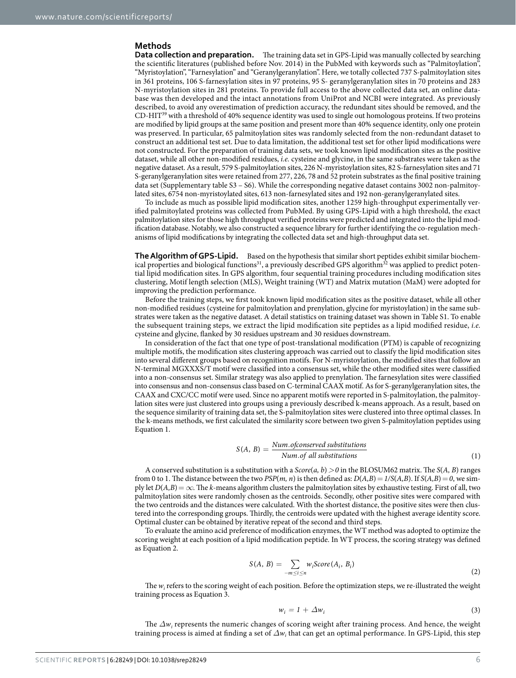#### **Methods**

**Data collection and preparation.** The training data set in GPS-Lipid was manually collected by searching the scientific literatures (published before Nov. 2014) in the PubMed with keywords such as "Palmitoylation", "Myristoylation", "Farnesylation" and "Geranylgeranylation". Here, we totally collected 737 S-palmitoylation sites in 361 proteins, 106 S-farnesylation sites in 97 proteins, 95 S- geranylgeranylation sites in 70 proteins and 283 N-myristoylation sites in 281 proteins. To provide full access to the above collected data set, an online database was then developed and the intact annotations from UniProt and NCBI were integrated. As previously described, to avoid any overestimation of prediction accuracy, the redundant sites should be removed, and the CD-HIT[39](#page-7-38) with a threshold of 40% sequence identity was used to single out homologous proteins. If two proteins are modified by lipid groups at the same position and present more than 40% sequence identity, only one protein was preserved. In particular, 65 palmitoylation sites was randomly selected from the non-redundant dataset to construct an additional test set. Due to data limitation, the additional test set for other lipid modifications were not constructed. For the preparation of training data sets, we took known lipid modification sites as the positive dataset, while all other non-modified residues, *i.e.* cysteine and glycine, in the same substrates were taken as the negative dataset. As a result, 579 S-palmitoylation sites, 226 N-myristoylation sites, 82 S-farnesylation sites and 71 S-geranylgeranylation sites were retained from 277, 226, 78 and 52 protein substrates as the final positive training data set (Supplementary table S3 – S6). While the corresponding negative dataset contains 3002 non-palmitoylated sites, 6754 non-myristoylated sites, 613 non-farnesylated sites and 192 non-geranylgeranylated sites.

To include as much as possible lipid modification sites, another 1259 high-throughput experimentally verified palmitoylated proteins was collected from PubMed. By using GPS-Lipid with a high threshold, the exact palmitoylation sites for those high throughput verified proteins were predicted and integrated into the lipid modification database. Notably, we also constructed a sequence library for further identifying the co-regulation mechanisms of lipid modifications by integrating the collected data set and high-throughput data set.

**The Algorithm of GPS-Lipid.** Based on the hypothesis that similar short peptides exhibit similar biochemical properties and biological functions<sup>31</sup>, a previously described GPS algorithm<sup>32</sup> was applied to predict potential lipid modification sites. In GPS algorithm, four sequential training procedures including modification sites clustering, Motif length selection (MLS), Weight training (WT) and Matrix mutation (MaM) were adopted for improving the prediction performance.

Before the training steps, we first took known lipid modification sites as the positive dataset, while all other non-modified residues (cysteine for palmitoylation and prenylation, glycine for myristoylation) in the same substrates were taken as the negative dataset. A detail statistics on training dataset was shown in Table S1. To enable the subsequent training steps, we extract the lipid modification site peptides as a lipid modified residue, *i.e.* cysteine and glycine, flanked by 30 residues upstream and 30 residues downstream.

In consideration of the fact that one type of post-translational modification (PTM) is capable of recognizing multiple motifs, the modification sites clustering approach was carried out to classify the lipid modification sites into several different groups based on recognition motifs. For N-myristoylation, the modified sites that follow an N-terminal MGXXXS/T motif were classified into a consensus set, while the other modified sites were classified into a non-consensus set. Similar strategy was also applied to prenylation. The farnesylation sites were classified into consensus and non-consensus class based on C-terminal CAAX motif. As for S-geranylgeranylation sites, the CAAX and CXC/CC motif were used. Since no apparent motifs were reported in S-palmitoylation, the palmitoylation sites were just clustered into groups using a previously described k-means approach. As a result, based on the sequence similarity of training data set, the S-palmitoylation sites were clustered into three optimal classes. In the k-means methods, we first calculated the similarity score between two given S-palmitoylation peptides using Equation 1.

$$
S(A, B) = \frac{Num. of conserved substitutions}{Num. of all substitutions}
$$
\n(1)

A conserved substitution is a substitution with a *Score*(*a, b*)*>0* in the BLOSUM62 matrix. The *S*(*A, B*) ranges from 0 to 1. The distance between the two *PSP*( $m, n$ ) is then defined as:  $D(A,B) = 1/S(A,B)$ . If  $S(A,B) = 0$ , we simply let  $D(A,B) = \infty$ . The *k*-means algorithm clusters the palmitoylation sites by exhaustive testing. First of all, two palmitoylation sites were randomly chosen as the centroids. Secondly, other positive sites were compared with the two centroids and the distances were calculated. With the shortest distance, the positive sites were then clustered into the corresponding groups. Thirdly, the centroids were updated with the highest average identity score. Optimal cluster can be obtained by iterative repeat of the second and third steps.

To evaluate the amino acid preference of modification enzymes, the WT method was adopted to optimize the scoring weight at each position of a lipid modification peptide. In WT process, the scoring strategy was defined as Equation 2.

$$
S(A, B) = \sum_{-m \le i \le n} w_i \text{Score}(A_i, B_i)
$$
\n(2)

The  $w_i$  refers to the scoring weight of each position. Before the optimization steps, we re-illustrated the weight training process as Equation 3.

$$
w_i = 1 + \Delta w_i \tag{3}
$$

The  $\Delta w_i$  represents the numeric changes of scoring weight after training process. And hence, the weight training process is aimed at finding a set of  $\Delta w_i$  that can get an optimal performance. In GPS-Lipid, this step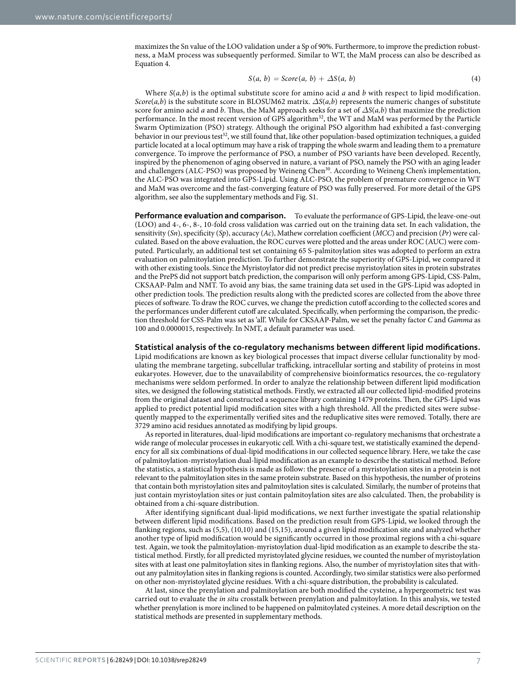maximizes the Sn value of the LOO validation under a Sp of 90%. Furthermore, to improve the prediction robustness, a MaM process was subsequently performed. Similar to WT, the MaM process can also be described as Equation 4.

$$
S(a, b) = Score(a, b) + \Delta S(a, b)
$$
\n
$$
(4)
$$

Where *S*(*a,b*) is the optimal substitute score for amino acid *a* and *b* with respect to lipid modification. *Score*(*a,b*) is the substitute score in BLOSUM62 matrix. *ΔS*(*a,b*) represents the numeric changes of substitute score for amino acid *a* and *b*. Thus, the MaM approach seeks for a set of *ΔS*(*a,b*) that maximize the prediction performance. In the most recent version of GPS algorithm<sup>[32](#page-7-31)</sup>, the WT and MaM was performed by the Particle Swarm Optimization (PSO) strategy. Although the original PSO algorithm had exhibited a fast-converging behavior in our previous test<sup>32</sup>, we still found that, like other population-based optimization techniques, a guided particle located at a local optimum may have a risk of trapping the whole swarm and leading them to a premature convergence. To improve the performance of PSO, a number of PSO variants have been developed. Recently, inspired by the phenomenon of aging observed in nature, a variant of PSO, namely the PSO with an aging leader and challengers (ALC-PSO) was proposed by Weineng Che[n30](#page-7-29). According to Weineng Chen's implementation, the ALC-PSO was integrated into GPS-Lipid. Using ALC-PSO, the problem of premature convergence in WT and MaM was overcome and the fast-converging feature of PSO was fully preserved. For more detail of the GPS algorithm, see also the supplementary methods and Fig. S1.

**Performance evaluation and comparison.** To evaluate the performance of GPS-Lipid, the leave-one-out (LOO) and 4-, 6-, 8-, 10-fold cross validation was carried out on the training data set. In each validation, the sensitivity (*Sn*), specificity (*Sp*), accuracy (*Ac*), Mathew correlation coefficient (*MCC*) and precision (*Pr*) were calculated. Based on the above evaluation, the ROC curves were plotted and the areas under ROC (AUC) were computed. Particularly, an additional test set containing 65 S-palmitoylation sites was adopted to perform an extra evaluation on palmitoylation prediction. To further demonstrate the superiority of GPS-Lipid, we compared it with other existing tools. Since the Myristoylator did not predict precise myristoylation sites in protein substrates and the PrePS did not support batch prediction, the comparison will only perform among GPS-Lipid, CSS-Palm, CKSAAP-Palm and NMT. To avoid any bias, the same training data set used in the GPS-Lipid was adopted in other prediction tools. The prediction results along with the predicted scores are collected from the above three pieces of software. To draw the ROC curves, we change the prediction cutoff according to the collected scores and the performances under different cutoff are calculated. Specifically, when performing the comparison, the prediction threshold for CSS-Palm was set as 'all'. While for CKSAAP-Palm, we set the penalty factor *C* and *Gamma* as 100 and 0.0000015, respectively. In NMT, a default parameter was used.

#### **Statistical analysis of the co-regulatory mechanisms between different lipid modifications.**

Lipid modifications are known as key biological processes that impact diverse cellular functionality by modulating the membrane targeting, subcellular trafficking, intracellular sorting and stability of proteins in most eukaryotes. However, due to the unavailability of comprehensive bioinformatics resources, the co-regulatory mechanisms were seldom performed. In order to analyze the relationship between different lipid modification sites, we designed the following statistical methods. Firstly, we extracted all our collected lipid-modified proteins from the original dataset and constructed a sequence library containing 1479 proteins. Then, the GPS-Lipid was applied to predict potential lipid modification sites with a high threshold. All the predicted sites were subsequently mapped to the experimentally verified sites and the reduplicative sites were removed. Totally, there are 3729 amino acid residues annotated as modifying by lipid groups.

As reported in literatures, dual-lipid modifications are important co-regulatory mechanisms that orchestrate a wide range of molecular processes in eukaryotic cell. With a chi-square test, we statistically examined the dependency for all six combinations of dual-lipid modifications in our collected sequence library. Here, we take the case of palmitoylation-myristoylation dual-lipid modification as an example to describe the statistical method. Before the statistics, a statistical hypothesis is made as follow: the presence of a myristoylation sites in a protein is not relevant to the palmitoylation sites in the same protein substrate. Based on this hypothesis, the number of proteins that contain both myristoylation sites and palmitoylation sites is calculated. Similarly, the number of proteins that just contain myristoylation sites or just contain palmitoylation sites are also calculated. Then, the probability is obtained from a chi-square distribution.

After identifying significant dual-lipid modifications, we next further investigate the spatial relationship between different lipid modifications. Based on the prediction result from GPS-Lipid, we looked through the flanking regions, such as (5,5), (10,10) and (15,15), around a given lipid modification site and analyzed whether another type of lipid modification would be significantly occurred in those proximal regions with a chi-square test. Again, we took the palmitoylation-myristoylation dual-lipid modification as an example to describe the statistical method. Firstly, for all predicted myristoylated glycine residues, we counted the number of myristoylation sites with at least one palmitoylation sites in flanking regions. Also, the number of myristoylation sites that without any palmitoylation sites in flanking regions is counted. Accordingly, two similar statistics were also performed on other non-myristoylated glycine residues. With a chi-square distribution, the probability is calculated.

At last, since the prenylation and palmitoylation are both modified the cysteine, a hypergeometric test was carried out to evaluate the *in situ* crosstalk between prenylation and palmitoylation. In this analysis, we tested whether prenylation is more inclined to be happened on palmitoylated cysteines. A more detail description on the statistical methods are presented in supplementary methods.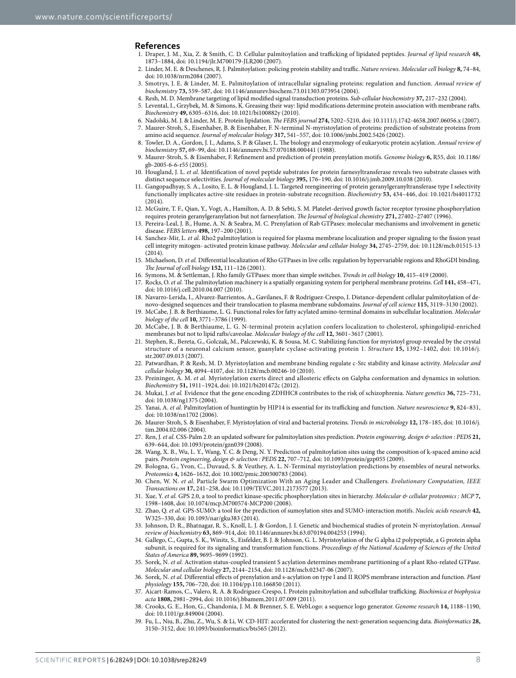#### **References**

- <span id="page-7-0"></span>1. Draper, J. M., Xia, Z. & Smith, C. D. Cellular palmitoylation and trafficking of lipidated peptides. *Journal of lipid research* **48,** 1873–1884, doi: 10.1194/jlr.M700179-JLR200 (2007).
- <span id="page-7-1"></span>2. Linder, M. E. & Deschenes, R. J. Palmitoylation: policing protein stability and traffic. *Nature reviews. Molecular cell biology* **8,** 74–84, doi: 10.1038/nrm2084 (2007).
- <span id="page-7-2"></span>3. Smotrys, J. E. & Linder, M. E. Palmitoylation of intracellular signaling proteins: regulation and function. *Annual review of biochemistry* **73,** 559–587, doi: 10.1146/annurev.biochem.73.011303.073954 (2004).
- <span id="page-7-3"></span>4. Resh, M. D. Membrane targeting of lipid modified signal transduction proteins. *Sub-cellular biochemistry* **37,** 217–232 (2004).
- <span id="page-7-4"></span>5. Levental, I., Grzybek, M. & Simons, K. Greasing their way: lipid modifications determine protein association with membrane rafts. *Biochemistry* **49,** 6305–6316, doi: 10.1021/bi100882y (2010).
- <span id="page-7-5"></span>6. Nadolski, M. J. & Linder, M. E. Protein lipidation. *The FEBS journal* **274,** 5202–5210, doi: 10.1111/j.1742-4658.2007.06056.x (2007).
- <span id="page-7-6"></span>7. Maurer-Stroh, S., Eisenhaber, B. & Eisenhaber, F. N-terminal N-myristoylation of proteins: prediction of substrate proteins from amino acid sequence. *Journal of molecular biology* **317,** 541–557, doi: 10.1006/jmbi.2002.5426 (2002).
- <span id="page-7-7"></span>8. Towler, D. A., Gordon, J. I., Adams, S. P. & Glaser, L. The biology and enzymology of eukaryotic protein acylation. *Annual review of biochemistry* **57,** 69–99, doi: 10.1146/annurev.bi.57.070188.000441 (1988).
- <span id="page-7-8"></span>9. Maurer-Stroh, S. & Eisenhaber, F. Refinement and prediction of protein prenylation motifs. *Genome biology* **6,** R55, doi: 10.1186/ gb-2005-6-6-r55 (2005).
- <span id="page-7-9"></span>10. Hougland, J. L. *et al.* Identification of novel peptide substrates for protein farnesyltransferase reveals two substrate classes with distinct sequence selectivities. *Journal of molecular biology* **395,** 176–190, doi: 10.1016/j.jmb.2009.10.038 (2010).
- <span id="page-7-10"></span>11. Gangopadhyay, S. A., Losito, E. L. & Hougland, J. L. Targeted reengineering of protein geranylgeranyltransferase type I selectivity functionally implicates active-site residues in protein-substrate recognition. *Biochemistry* **53,** 434–446, doi: 10.1021/bi4011732 (2014).
- <span id="page-7-11"></span>12. McGuire, T. F., Qian, Y., Vogt, A., Hamilton, A. D. & Sebti, S. M. Platelet-derived growth factor receptor tyrosine phosphorylation requires protein geranylgeranylation but not farnesylation. *The Journal of biological chemistry* **271,** 27402–27407 (1996).
- <span id="page-7-12"></span>13. Pereira-Leal, J. B., Hume, A. N. & Seabra, M. C. Prenylation of Rab GTPases: molecular mechanisms and involvement in genetic disease. *FEBS letters* **498,** 197–200 (2001).
- <span id="page-7-13"></span>14. Sanchez-Mir, L. *et al.* Rho2 palmitoylation is required for plasma membrane localization and proper signaling to the fission yeast cell integrity mitogen- activated protein kinase pathway. *Molecular and cellular biology* **34,** 2745–2759, doi: 10.1128/mcb.01515-13 (2014).
- <span id="page-7-14"></span>15. Michaelson, D. *et al.* Differential localization of Rho GTPases in live cells: regulation by hypervariable regions and RhoGDI binding. *The Journal of cell biology* **152,** 111–126 (2001).
- <span id="page-7-15"></span>16. Symons, M. & Settleman, J. Rho family GTPases: more than simple switches. *Trends in cell biology* **10,** 415–419 (2000).
- <span id="page-7-16"></span>17. Rocks, O. *et al.* The palmitoylation machinery is a spatially organizing system for peripheral membrane proteins. *Cell* **141,** 458–471, doi: 10.1016/j.cell.2010.04.007 (2010).
- <span id="page-7-17"></span>18. Navarro-Lerida, I., Alvarez-Barrientos, A., Gavilanes, F. & Rodriguez-Crespo, I. Distance-dependent cellular palmitoylation of denovo-designed sequences and their translocation to plasma membrane subdomains. *Journal of cell science* **115,** 3119–3130 (2002).
- <span id="page-7-18"></span>19. McCabe, J. B. & Berthiaume, L. G. Functional roles for fatty acylated amino-terminal domains in subcellular localization. *Molecular biology of the cell* **10,** 3771–3786 (1999).
- <span id="page-7-19"></span>20. McCabe, J. B. & Berthiaume, L. G. N-terminal protein acylation confers localization to cholesterol, sphingolipid-enriched membranes but not to lipid rafts/caveolae. *Molecular biology of the cell* **12,** 3601–3617 (2001).
- <span id="page-7-20"></span>21. Stephen, R., Bereta, G., Golczak, M., Palczewski, K. & Sousa, M. C. Stabilizing function for myristoyl group revealed by the crystal structure of a neuronal calcium sensor, guanylate cyclase-activating protein 1. *Structure* **15,** 1392–1402, doi: 10.1016/j. str.2007.09.013 (2007).
- <span id="page-7-21"></span>22. Patwardhan, P. & Resh, M. D. Myristoylation and membrane binding regulate c-Src stability and kinase activity. *Molecular and cellular biology* **30,** 4094–4107, doi: 10.1128/mcb.00246-10 (2010).
- <span id="page-7-22"></span>23. Preininger, A. M. *et al.* Myristoylation exerts direct and allosteric effects on Galpha conformation and dynamics in solution. *Biochemistry* **51,** 1911–1924, doi: 10.1021/bi201472c (2012).
- <span id="page-7-23"></span>24. Mukai, J. *et al.* Evidence that the gene encoding ZDHHC8 contributes to the risk of schizophrenia. *Nature genetics* **36,** 725–731, doi: 10.1038/ng1375 (2004).
- <span id="page-7-24"></span>25. Yanai, A. *et al.* Palmitoylation of huntingtin by HIP14 is essential for its trafficking and function. *Nature neuroscience* **9,** 824–831, doi: 10.1038/nn1702 (2006).
- <span id="page-7-25"></span>26. Maurer-Stroh, S. & Eisenhaber, F. Myristoylation of viral and bacterial proteins. *Trends in microbiology* **12,** 178–185, doi: 10.1016/j. tim.2004.02.006 (2004).
- <span id="page-7-26"></span>27. Ren, J. *et al.* CSS-Palm 2.0: an updated software for palmitoylation sites prediction. *Protein engineering, design & selection : PEDS* **21,** 639–644, doi: 10.1093/protein/gzn039 (2008).
- <span id="page-7-27"></span>28. Wang, X. B., Wu, L. Y., Wang, Y. C. & Deng, N. Y. Prediction of palmitoylation sites using the composition of k-spaced amino acid pairs. *Protein engineering, design & selection : PEDS* **22,** 707–712, doi: 10.1093/protein/gzp055 (2009).
- <span id="page-7-28"></span>29. Bologna, G., Yvon, C., Duvaud, S. & Veuthey, A. L. N-Terminal myristoylation predictions by ensembles of neural networks. *Proteomics* **4,** 1626–1632, doi: 10.1002/pmic.200300783 (2004).
- <span id="page-7-29"></span>30. Chen, W. N. *et al.* Particle Swarm Optimization With an Aging Leader and Challengers. *Evolutionary Computation, IEEE Transactions on* **17,** 241–258, doi: 10.1109/TEVC.2011.2173577 (2013).
- <span id="page-7-30"></span>31. Xue, Y. *et al.* GPS 2.0, a tool to predict kinase-specific phosphorylation sites in hierarchy. *Molecular & cellular proteomics : MCP* **7,** 1598–1608, doi: 10.1074/mcp.M700574-MCP200 (2008).
- <span id="page-7-31"></span>32. Zhao, Q. *et al.* GPS-SUMO: a tool for the prediction of sumoylation sites and SUMO-interaction motifs. *Nucleic acids research* **42,** W325–330, doi: 10.1093/nar/gku383 (2014).
- <span id="page-7-32"></span>33. Johnson, D. R., Bhatnagar, R. S., Knoll, L. J. & Gordon, J. I. Genetic and biochemical studies of protein N-myristoylation. *Annual review of biochemistry* **63,** 869–914, doi: 10.1146/annurev.bi.63.070194.004253 (1994).
- <span id="page-7-33"></span>34. Gallego, C., Gupta, S. K., Winitz, S., Eisfelder, B. J. & Johnson, G. L. Myristoylation of the G alpha i2 polypeptide, a G protein alpha subunit, is required for its signaling and transformation functions. *Proceedings of the National Academy of Sciences of the United States of America* **89,** 9695–9699 (1992).
- <span id="page-7-34"></span>35. Sorek, N. *et al.* Activation status-coupled transient S acylation determines membrane partitioning of a plant Rho-related GTPase. *Molecular and cellular biology* **27,** 2144–2154, doi: 10.1128/mcb.02347-06 (2007).
- <span id="page-7-35"></span>36. Sorek, N. *et al.* Differential effects of prenylation and s-acylation on type I and II ROPS membrane interaction and function. *Plant physiology* **155,** 706–720, doi: 10.1104/pp.110.166850 (2011).
- <span id="page-7-36"></span>37. Aicart-Ramos, C., Valero, R. A. & Rodriguez-Crespo, I. Protein palmitoylation and subcellular trafficking. *Biochimica et biophysica acta* **1808,** 2981–2994, doi: 10.1016/j.bbamem.2011.07.009 (2011).
- <span id="page-7-37"></span>38. Crooks, G. E., Hon, G., Chandonia, J. M. & Brenner, S. E. WebLogo: a sequence logo generator. *Genome research* **14,** 1188–1190, doi: 10.1101/gr.849004 (2004).
- <span id="page-7-38"></span>39. Fu, L., Niu, B., Zhu, Z., Wu, S. & Li, W. CD-HIT: accelerated for clustering the next-generation sequencing data. *Bioinformatics* **28,** 3150–3152, doi: 10.1093/bioinformatics/bts565 (2012).